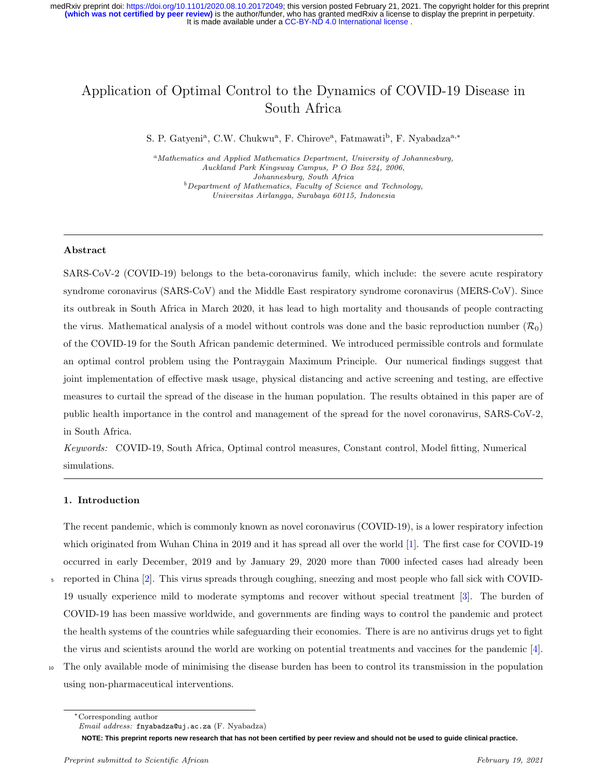# Application of Optimal Control to the Dynamics of COVID-19 Disease in South Africa

S. P. Gatyeni<sup>a</sup>, C.W. Chukwu<sup>a</sup>, F. Chirove<sup>a</sup>, Fatmawati<sup>b</sup>, F. Nyabadza<sup>a,\*</sup>

<sup>a</sup>Mathematics and Applied Mathematics Department, University of Johannesburg, Auckland Park Kingsway Campus, P O Box 524, 2006, Johannesburg, South Africa  $b$ Department of Mathematics, Faculty of Science and Technology, Universitas Airlangga, Surabaya 60115, Indonesia

#### Abstract

SARS-CoV-2 (COVID-19) belongs to the beta-coronavirus family, which include: the severe acute respiratory syndrome coronavirus (SARS-CoV) and the Middle East respiratory syndrome coronavirus (MERS-CoV). Since its outbreak in South Africa in March 2020, it has lead to high mortality and thousands of people contracting the virus. Mathematical analysis of a model without controls was done and the basic reproduction number  $(\mathcal{R}_0)$ of the COVID-19 for the South African pandemic determined. We introduced permissible controls and formulate an optimal control problem using the Pontraygain Maximum Principle. Our numerical findings suggest that joint implementation of effective mask usage, physical distancing and active screening and testing, are effective measures to curtail the spread of the disease in the human population. The results obtained in this paper are of public health importance in the control and management of the spread for the novel coronavirus, SARS-CoV-2, in South Africa.

Keywords: COVID-19, South Africa, Optimal control measures, Constant control, Model fitting, Numerical simulations.

## 1. Introduction

The recent pandemic, which is commonly known as novel coronavirus (COVID-19), is a lower respiratory infection which originated from Wuhan China in 2019 and it has spread all over the world [\[1\]](#page-19-0). The first case for COVID-19 occurred in early December, 2019 and by January 29, 2020 more than 7000 infected cases had already been <sup>5</sup> reported in China [\[2\]](#page-19-1). This virus spreads through coughing, sneezing and most people who fall sick with COVID-19 usually experience mild to moderate symptoms and recover without special treatment [\[3\]](#page-19-2). The burden of COVID-19 has been massive worldwide, and governments are finding ways to control the pandemic and protect the health systems of the countries while safeguarding their economies. There is are no antivirus drugs yet to fight the virus and scientists around the world are working on potential treatments and vaccines for the pandemic [\[4\]](#page-19-3).

<sup>10</sup> The only available mode of minimising the disease burden has been to control its transmission in the population using non-pharmaceutical interventions.

**NOTE: This preprint reports new research that has not been certified by peer review and should not be used to guide clinical practice.**

<sup>∗</sup>Corresponding author

Email address: fnyabadza@uj.ac.za (F. Nyabadza)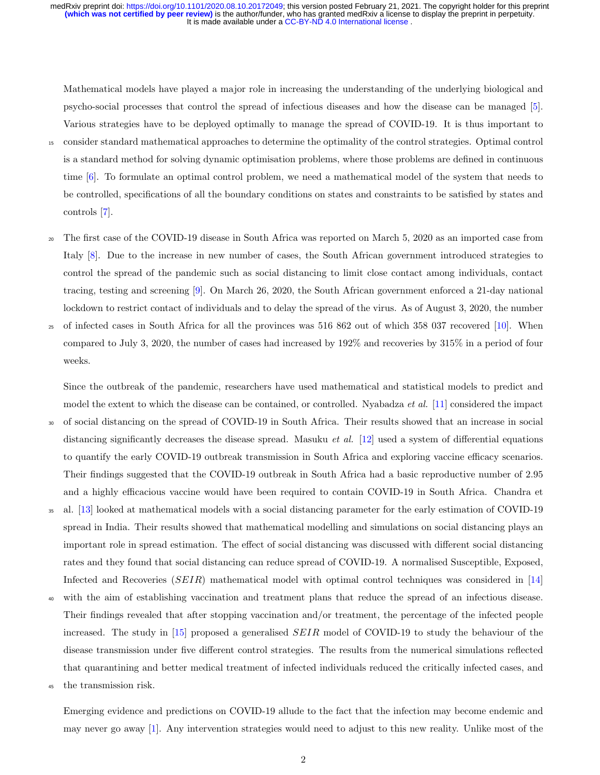Mathematical models have played a major role in increasing the understanding of the underlying biological and psycho-social processes that control the spread of infectious diseases and how the disease can be managed [\[5\]](#page-20-0). Various strategies have to be deployed optimally to manage the spread of COVID-19. It is thus important to <sup>15</sup> consider standard mathematical approaches to determine the optimality of the control strategies. Optimal control is a standard method for solving dynamic optimisation problems, where those problems are defined in continuous time [\[6\]](#page-20-1). To formulate an optimal control problem, we need a mathematical model of the system that needs to be controlled, specifications of all the boundary conditions on states and constraints to be satisfied by states and controls [\[7\]](#page-20-2).

- <sup>20</sup> The first case of the COVID-19 disease in South Africa was reported on March 5, 2020 as an imported case from Italy [\[8\]](#page-20-3). Due to the increase in new number of cases, the South African government introduced strategies to control the spread of the pandemic such as social distancing to limit close contact among individuals, contact tracing, testing and screening [\[9\]](#page-20-4). On March 26, 2020, the South African government enforced a 21-day national lockdown to restrict contact of individuals and to delay the spread of the virus. As of August 3, 2020, the number
- <sup>25</sup> of infected cases in South Africa for all the provinces was 516 862 out of which 358 037 recovered [\[10\]](#page-20-5). When compared to July 3, 2020, the number of cases had increased by 192% and recoveries by 315% in a period of four weeks.

Since the outbreak of the pandemic, researchers have used mathematical and statistical models to predict and model the extent to which the disease can be contained, or controlled. Nyabadza *et al.* [\[11\]](#page-20-6) considered the impact

- <sup>30</sup> of social distancing on the spread of COVID-19 in South Africa. Their results showed that an increase in social distancing significantly decreases the disease spread. Masuku *et al.* [\[12\]](#page-20-7) used a system of differential equations to quantify the early COVID-19 outbreak transmission in South Africa and exploring vaccine efficacy scenarios. Their findings suggested that the COVID-19 outbreak in South Africa had a basic reproductive number of 2.95 and a highly efficacious vaccine would have been required to contain COVID-19 in South Africa. Chandra et
- <sup>35</sup> al. [\[13\]](#page-20-8) looked at mathematical models with a social distancing parameter for the early estimation of COVID-19 spread in India. Their results showed that mathematical modelling and simulations on social distancing plays an important role in spread estimation. The effect of social distancing was discussed with different social distancing rates and they found that social distancing can reduce spread of COVID-19. A normalised Susceptible, Exposed, Infected and Recoveries  $(SEIR)$  mathematical model with optimal control techniques was considered in [\[14\]](#page-20-9)
- <sup>40</sup> with the aim of establishing vaccination and treatment plans that reduce the spread of an infectious disease. Their findings revealed that after stopping vaccination and/or treatment, the percentage of the infected people increased. The study in  $[15]$  proposed a generalised *SEIR* model of COVID-19 to study the behaviour of the disease transmission under five different control strategies. The results from the numerical simulations reflected that quarantining and better medical treatment of infected individuals reduced the critically infected cases, and
- <sup>45</sup> the transmission risk.

Emerging evidence and predictions on COVID-19 allude to the fact that the infection may become endemic and may never go away [\[1\]](#page-19-0). Any intervention strategies would need to adjust to this new reality. Unlike most of the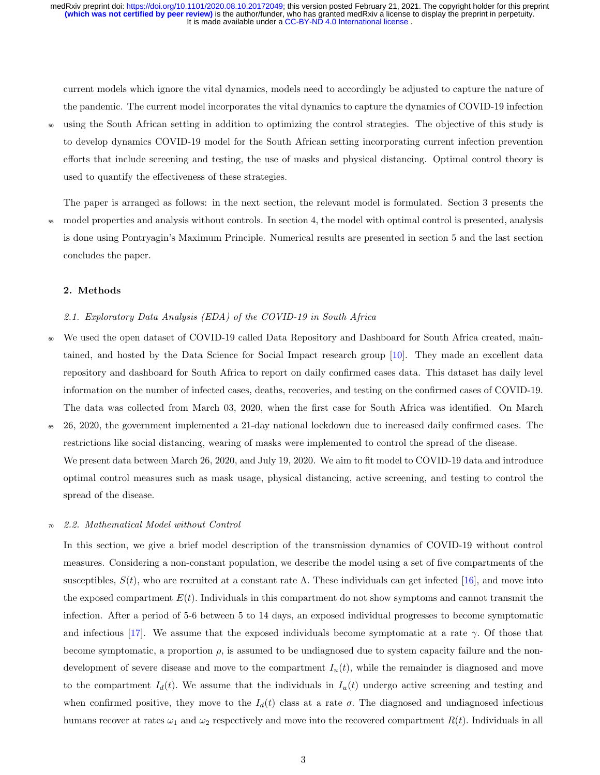current models which ignore the vital dynamics, models need to accordingly be adjusted to capture the nature of the pandemic. The current model incorporates the vital dynamics to capture the dynamics of COVID-19 infection

<sup>50</sup> using the South African setting in addition to optimizing the control strategies. The objective of this study is to develop dynamics COVID-19 model for the South African setting incorporating current infection prevention efforts that include screening and testing, the use of masks and physical distancing. Optimal control theory is used to quantify the effectiveness of these strategies.

The paper is arranged as follows: in the next section, the relevant model is formulated. Section 3 presents the model properties and analysis without controls. In section 4, the model with optimal control is presented, analysis is done using Pontryagin's Maximum Principle. Numerical results are presented in section 5 and the last section concludes the paper.

# 2. Methods

#### 2.1. Exploratory Data Analysis (EDA) of the COVID-19 in South Africa

- We used the open dataset of COVID-19 called Data Repository and Dashboard for South Africa created, maintained, and hosted by the Data Science for Social Impact research group [\[10\]](#page-20-5). They made an excellent data repository and dashboard for South Africa to report on daily confirmed cases data. This dataset has daily level information on the number of infected cases, deaths, recoveries, and testing on the confirmed cases of COVID-19. The data was collected from March 03, 2020, when the first case for South Africa was identified. On March
- <sup>65</sup> 26, 2020, the government implemented a 21-day national lockdown due to increased daily confirmed cases. The restrictions like social distancing, wearing of masks were implemented to control the spread of the disease. We present data between March 26, 2020, and July 19, 2020. We aim to fit model to COVID-19 data and introduce optimal control measures such as mask usage, physical distancing, active screening, and testing to control the spread of the disease.

#### 2.2. Mathematical Model without Control

In this section, we give a brief model description of the transmission dynamics of COVID-19 without control measures. Considering a non-constant population, we describe the model using a set of five compartments of the susceptibles,  $S(t)$ , who are recruited at a constant rate Λ. These individuals can get infected [\[16\]](#page-20-11), and move into the exposed compartment  $E(t)$ . Individuals in this compartment do not show symptoms and cannot transmit the infection. After a period of 5-6 between 5 to 14 days, an exposed individual progresses to become symptomatic and infectious [\[17\]](#page-20-12). We assume that the exposed individuals become symptomatic at a rate  $\gamma$ . Of those that become symptomatic, a proportion  $\rho$ , is assumed to be undiagnosed due to system capacity failure and the nondevelopment of severe disease and move to the compartment  $I_u(t)$ , while the remainder is diagnosed and move to the compartment  $I_d(t)$ . We assume that the individuals in  $I_u(t)$  undergo active screening and testing and when confirmed positive, they move to the  $I_d(t)$  class at a rate  $\sigma$ . The diagnosed and undiagnosed infectious humans recover at rates  $\omega_1$  and  $\omega_2$  respectively and move into the recovered compartment  $R(t)$ . Individuals in all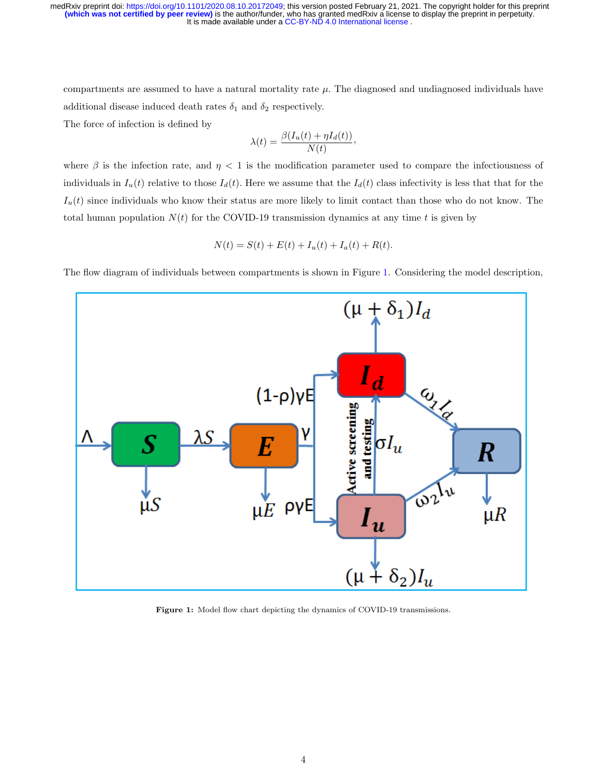compartments are assumed to have a natural mortality rate  $\mu$ . The diagnosed and undiagnosed individuals have additional disease induced death rates  $\delta_1$  and  $\delta_2$  respectively.

The force of infection is defined by

$$
\lambda(t) = \frac{\beta(I_u(t) + \eta I_d(t))}{N(t)},
$$

where  $\beta$  is the infection rate, and  $\eta < 1$  is the modification parameter used to compare the infectiousness of individuals in  $I_u(t)$  relative to those  $I_d(t)$ . Here we assume that the  $I_d(t)$  class infectivity is less that that for the  $I_u(t)$  since individuals who know their status are more likely to limit contact than those who do not know. The total human population  $N(t)$  for the COVID-19 transmission dynamics at any time t is given by

$$
N(t) = S(t) + E(t) + I_u(t) + I_a(t) + R(t).
$$

The flow diagram of individuals between compartments is shown in Figure [1.](#page-3-0) Considering the model description,

<span id="page-3-0"></span>

Figure 1: Model flow chart depicting the dynamics of COVID-19 transmissions.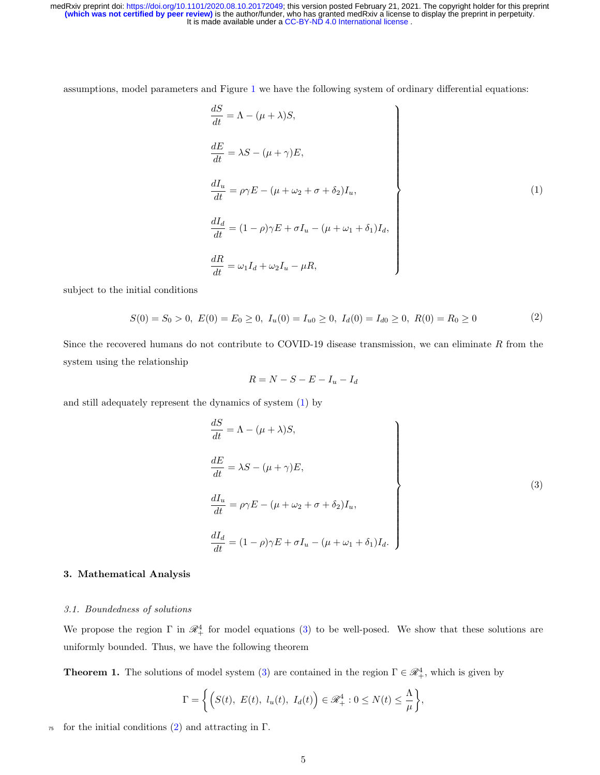assumptions, model parameters and Figure [1](#page-3-0) we have the following system of ordinary differential equations:

<span id="page-4-0"></span>
$$
\begin{aligned}\n\frac{dS}{dt} &= \Lambda - (\mu + \lambda)S, \\
\frac{dE}{dt} &= \lambda S - (\mu + \gamma)E, \\
\frac{dI_u}{dt} &= \rho \gamma E - (\mu + \omega_2 + \sigma + \delta_2)I_u, \\
\frac{dI_d}{dt} &= (1 - \rho)\gamma E + \sigma I_u - (\mu + \omega_1 + \delta_1)I_d, \\
\frac{dR}{dt} &= \omega_1 I_d + \omega_2 I_u - \mu R,\n\end{aligned}
$$
\n(1)

subject to the initial conditions

<span id="page-4-2"></span>
$$
S(0) = S_0 > 0, \ E(0) = E_0 \ge 0, \ I_u(0) = I_{u0} \ge 0, \ I_d(0) = I_{d0} \ge 0, \ R(0) = R_0 \ge 0
$$
 (2)

Since the recovered humans do not contribute to COVID-19 disease transmission, we can eliminate  $R$  from the system using the relationship

<span id="page-4-1"></span>
$$
R = N - S - E - I_u - I_d
$$

and still adequately represent the dynamics of system [\(1\)](#page-4-0) by

$$
\begin{aligned}\n\frac{dS}{dt} &= \Lambda - (\mu + \lambda)S, \\
\frac{dE}{dt} &= \lambda S - (\mu + \gamma)E, \\
\frac{dI_u}{dt} &= \rho \gamma E - (\mu + \omega_2 + \sigma + \delta_2)I_u, \\
\frac{dI_d}{dt} &= (1 - \rho)\gamma E + \sigma I_u - (\mu + \omega_1 + \delta_1)I_d.\n\end{aligned}
$$
\n(3)

# 3. Mathematical Analysis

#### 3.1. Boundedness of solutions

We propose the region  $\Gamma$  in  $\mathcal{R}_+^4$  for model equations [\(3\)](#page-4-1) to be well-posed. We show that these solutions are uniformly bounded. Thus, we have the following theorem

**Theorem 1.** The solutions of model system [\(3\)](#page-4-1) are contained in the region  $\Gamma \in \mathcal{R}_+^4$ , which is given by

$$
\Gamma = \left\{ \left( S(t), E(t), l_u(t), I_d(t) \right) \in \mathscr{R}_+^4 : 0 \le N(t) \le \frac{\Lambda}{\mu} \right\},\
$$

<sup>75</sup> for the initial conditions [\(2\)](#page-4-2) and attracting in Γ.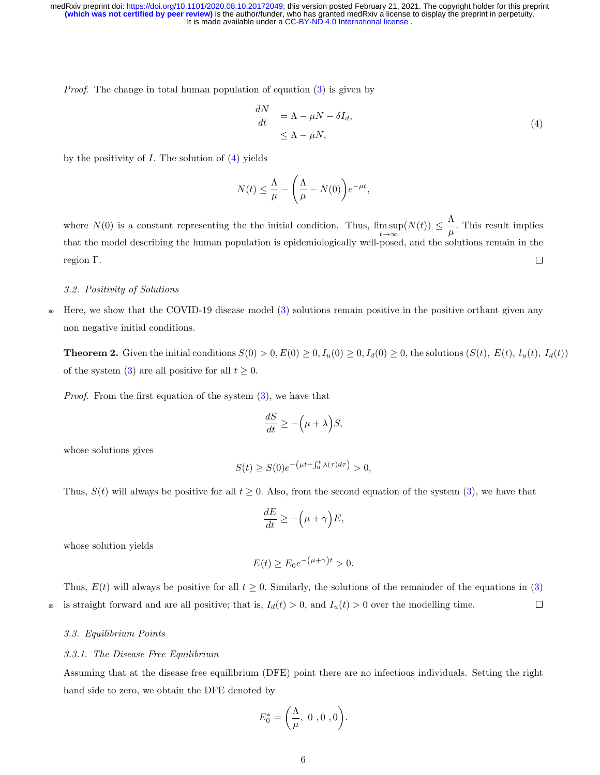Proof. The change in total human population of equation [\(3\)](#page-4-1) is given by

<span id="page-5-0"></span>
$$
\frac{dN}{dt} = \Lambda - \mu N - \delta I_d,
$$
\n
$$
\leq \Lambda - \mu N,
$$
\n(4)

by the positivity of  $I$ . The solution of  $(4)$  yields

$$
N(t) \leq \frac{\Lambda}{\mu} - \left(\frac{\Lambda}{\mu} - N(0)\right) e^{-\mu t},
$$

where  $N(0)$  is a constant representing the the initial condition. Thus,  $\limsup_{t\to\infty} (N(t)) \leq \frac{\Lambda}{\mu}$  $\frac{\mu}{\mu}$ . This result implies that the model describing the human population is epidemiologically well-posed, and the solutions remain in the region Γ.  $\Box$ 

# 3.2. Positivity of Solutions

<sup>80</sup> Here, we show that the COVID-19 disease model [\(3\)](#page-4-1) solutions remain positive in the positive orthant given any non negative initial conditions.

**Theorem 2.** Given the initial conditions  $S(0) > 0$ ,  $E(0) \ge 0$ ,  $I_u(0) \ge 0$ ,  $I_d(0) \ge 0$ , the solutions  $(S(t), E(t), I_u(t), I_d(t))$ of the system [\(3\)](#page-4-1) are all positive for all  $t \geq 0$ .

Proof. From the first equation of the system [\(3\)](#page-4-1), we have that

$$
\frac{dS}{dt} \ge -(\mu + \lambda)S,
$$

whose solutions gives

$$
S(t) \ge S(0)e^{-\left(\mu t + \int_0^t \lambda(\tau)d\tau\right)} > 0,
$$

Thus,  $S(t)$  will always be positive for all  $t \geq 0$ . Also, from the second equation of the system [\(3\)](#page-4-1), we have that

$$
\frac{dE}{dt} \geq -\Big(\mu+\gamma\Big)E,
$$

whose solution yields

$$
E(t) \ge E_0 e^{-(\mu + \gamma)t} > 0.
$$

Thus,  $E(t)$  will always be positive for all  $t \geq 0$ . Similarly, the solutions of the remainder of the equations in [\(3\)](#page-4-1) <sup>85</sup> is straight forward and are all positive; that is,  $I_d(t) > 0$ , and  $I_u(t) > 0$  over the modelling time.  $\Box$ 

#### 3.3. Equilibrium Points

#### 3.3.1. The Disease Free Equilibrium

Assuming that at the disease free equilibrium (DFE) point there are no infectious individuals. Setting the right hand side to zero, we obtain the DFE denoted by

$$
E_0^* = \left(\frac{\Lambda}{\mu}, 0, 0, 0\right).
$$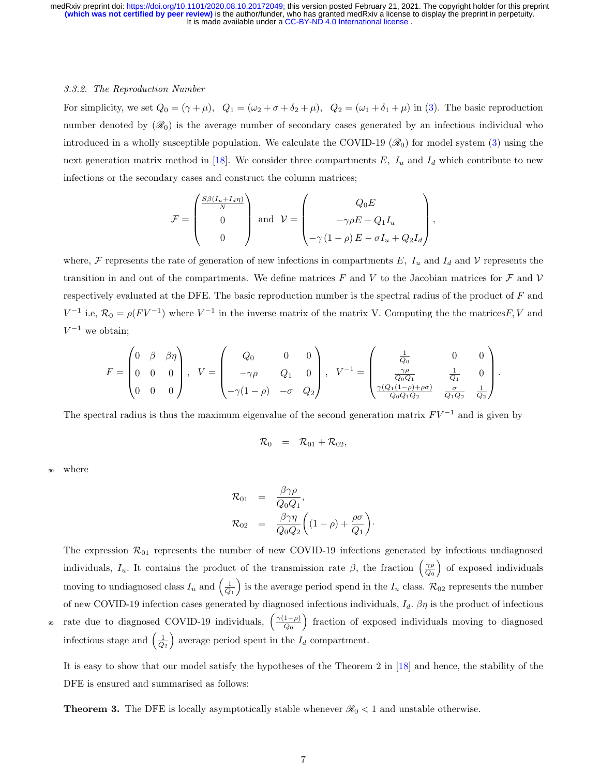#### 3.3.2. The Reproduction Number

For simplicity, we set  $Q_0 = (\gamma + \mu)$ ,  $Q_1 = (\omega_2 + \sigma + \delta_2 + \mu)$ ,  $Q_2 = (\omega_1 + \delta_1 + \mu)$  in [\(3\)](#page-4-1). The basic reproduction number denoted by  $(\mathcal{R}_0)$  is the average number of secondary cases generated by an infectious individual who introduced in a wholly susceptible population. We calculate the COVID-19  $(\mathcal{R}_0)$  for model system [\(3\)](#page-4-1) using the next generation matrix method in [\[18\]](#page-20-13). We consider three compartments  $E$ ,  $I_u$  and  $I_d$  which contribute to new infections or the secondary cases and construct the column matrices;

$$
\mathcal{F} = \begin{pmatrix} \frac{S\beta(I_u + I_d\eta)}{N} \\ 0 \\ 0 \end{pmatrix} \text{ and } \mathcal{V} = \begin{pmatrix} Q_0 E \\ -\gamma \rho E + Q_1 I_u \\ -\gamma (1 - \rho) E - \sigma I_u + Q_2 I_d \end{pmatrix},
$$

where, F represents the rate of generation of new infections in compartments E,  $I_u$  and  $I_d$  and V represents the transition in and out of the compartments. We define matrices F and V to the Jacobian matrices for F and V respectively evaluated at the DFE. The basic reproduction number is the spectral radius of the product of F and  $V^{-1}$  i.e,  $\mathcal{R}_0 = \rho (F V^{-1})$  where  $V^{-1}$  in the inverse matrix of the matrix V. Computing the the matrices F, V and  $V^{-1}$  we obtain;

$$
F = \begin{pmatrix} 0 & \beta & \beta \eta \\ 0 & 0 & 0 \\ 0 & 0 & 0 \end{pmatrix}, \quad V = \begin{pmatrix} Q_0 & 0 & 0 \\ -\gamma \rho & Q_1 & 0 \\ -\gamma (1 - \rho) & -\sigma & Q_2 \end{pmatrix}, \quad V^{-1} = \begin{pmatrix} \frac{1}{Q_0} & 0 & 0 \\ \frac{\gamma \rho}{Q_0 Q_1} & \frac{1}{Q_1} & 0 \\ \frac{\gamma (Q_1 (1 - \rho) + \rho \sigma)}{Q_0 Q_1 Q_2} & \frac{\sigma}{Q_1 Q_2} & \frac{1}{Q_2} \end{pmatrix}.
$$

The spectral radius is thus the maximum eigenvalue of the second generation matrix  $F V^{-1}$  and is given by

$$
\mathcal{R}_0 = \mathcal{R}_{01} + \mathcal{R}_{02},
$$

where

$$
\mathcal{R}_{01} = \frac{\beta \gamma \rho}{Q_0 Q_1},
$$
  

$$
\mathcal{R}_{02} = \frac{\beta \gamma \eta}{Q_0 Q_2} \left( (1 - \rho) + \frac{\rho \sigma}{Q_1} \right)
$$

·

The expression  $\mathcal{R}_{01}$  represents the number of new COVID-19 infections generated by infectious undiagnosed individuals,  $I_u$ . It contains the product of the transmission rate  $\beta$ , the fraction  $\left(\frac{\gamma \rho}{Q_0}\right)$  of exposed individuals moving to undiagnosed class  $I_u$  and  $\left(\frac{1}{Q_1}\right)$  is the average period spend in the  $I_u$  class.  $\mathcal{R}_{02}$  represents the number of new COVID-19 infection cases generated by diagnosed infectious individuals,  $I_d$ .  $\beta\eta$  is the product of infectious rate due to diagnosed COVID-19 individuals,  $\left(\frac{\gamma(1-\rho)}{Q_0}\right)$ <sup>95</sup> rate due to diagnosed COVID-19 individuals,  $\left(\frac{\gamma(1-\rho)}{Q_0}\right)$  fraction of exposed individuals moving to diagnosed infectious stage and  $\left(\frac{1}{Q_2}\right)$  average period spent in the  $I_d$  compartment.

It is easy to show that our model satisfy the hypotheses of the Theorem 2 in [\[18\]](#page-20-13) and hence, the stability of the DFE is ensured and summarised as follows:

**Theorem 3.** The DFE is locally asymptotically stable whenever  $\mathcal{R}_0 < 1$  and unstable otherwise.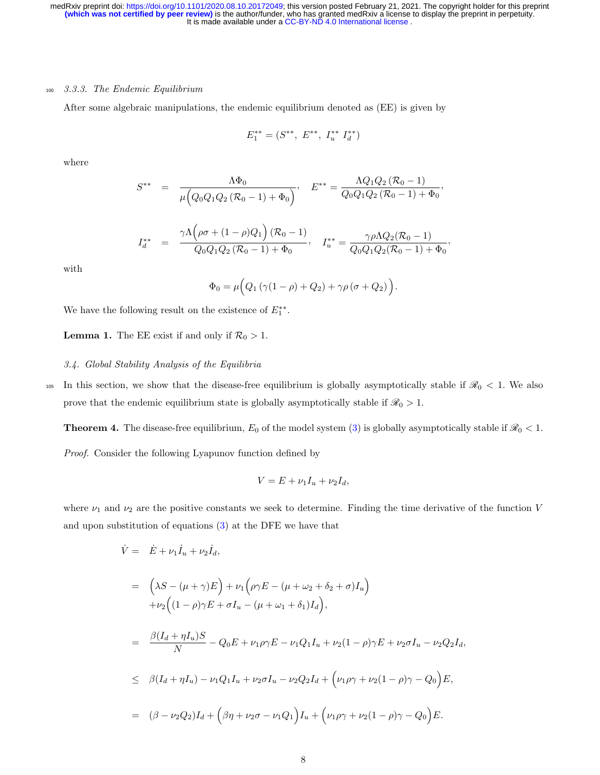#### <sup>100</sup> 3.3.3. The Endemic Equilibrium

After some algebraic manipulations, the endemic equilibrium denoted as (EE) is given by

$$
E_1^{**} = (S^{**}, E^{**}, I_u^{**} I_d^{**})
$$

where

$$
S^{**} = \frac{\Lambda \Phi_0}{\mu \left(Q_0 Q_1 Q_2 (R_0 - 1) + \Phi_0\right)}, \quad E^{**} = \frac{\Lambda Q_1 Q_2 (R_0 - 1)}{Q_0 Q_1 Q_2 (R_0 - 1) + \Phi_0},
$$

$$
I_d^{**} = \frac{\gamma \Lambda \left(\rho \sigma + (1 - \rho)Q_1\right)(\mathcal{R}_0 - 1)}{Q_0 Q_1 Q_2 (\mathcal{R}_0 - 1) + \Phi_0}, \quad I_u^{**} = \frac{\gamma \rho \Lambda Q_2 (\mathcal{R}_0 - 1)}{Q_0 Q_1 Q_2 (\mathcal{R}_0 - 1) + \Phi_0}
$$

,

with

$$
\Phi_0 = \mu \Big( Q_1 \left( \gamma (1 - \rho) + Q_2 \right) + \gamma \rho \left( \sigma + Q_2 \right) \Big).
$$

We have the following result on the existence of  $E_1^{**}$ .

**Lemma 1.** The EE exist if and only if  $\mathcal{R}_0 > 1$ .

#### 3.4. Global Stability Analysis of the Equilibria

105 In this section, we show that the disease-free equilibrium is globally asymptotically stable if  $\mathcal{R}_0 < 1$ . We also prove that the endemic equilibrium state is globally asymptotically stable if  $\mathcal{R}_0 > 1$ .

**Theorem 4.** The disease-free equilibrium,  $E_0$  of the model system [\(3\)](#page-4-1) is globally asymptotically stable if  $\mathcal{R}_0 < 1$ .

Proof. Consider the following Lyapunov function defined by

$$
V = E + \nu_1 I_u + \nu_2 I_d,
$$

where  $\nu_1$  and  $\nu_2$  are the positive constants we seek to determine. Finding the time derivative of the function V and upon substitution of equations [\(3\)](#page-4-1) at the DFE we have that

$$
\dot{V} = \dot{E} + \nu_1 \dot{I}_u + \nu_2 \dot{I}_d,
$$
\n
$$
= \left(\lambda S - (\mu + \gamma)E\right) + \nu_1 \left(\rho \gamma E - (\mu + \omega_2 + \delta_2 + \sigma)I_u\right)
$$
\n
$$
+ \nu_2 \left((1 - \rho)\gamma E + \sigma I_u - (\mu + \omega_1 + \delta_1)I_d\right),
$$
\n
$$
= \frac{\beta(I_d + \eta I_u)S}{N} - Q_0 E + \nu_1 \rho \gamma E - \nu_1 Q_1 I_u + \nu_2 (1 - \rho)\gamma E + \nu_2 \sigma I_u - \nu_2 Q_2 I_d,
$$
\n
$$
\leq \beta(I_d + \eta I_u) - \nu_1 Q_1 I_u + \nu_2 \sigma I_u - \nu_2 Q_2 I_d + \left(\nu_1 \rho \gamma + \nu_2 (1 - \rho)\gamma - Q_0\right)E,
$$
\n
$$
= (\beta - \nu_2 Q_2)I_d + \left(\beta \eta + \nu_2 \sigma - \nu_1 Q_1\right)I_u + \left(\nu_1 \rho \gamma + \nu_2 (1 - \rho)\gamma - Q_0\right)E.
$$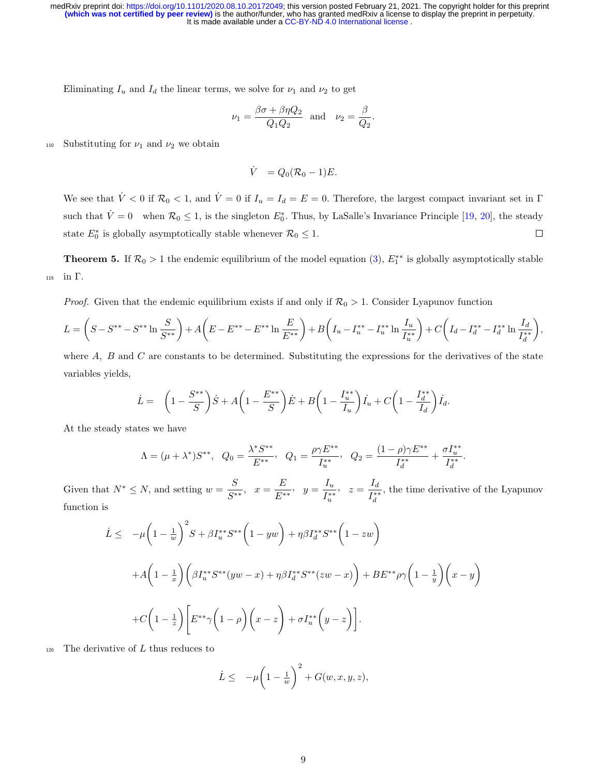Eliminating  $I_u$  and  $I_d$  the linear terms, we solve for  $\nu_1$  and  $\nu_2$  to get

$$
\nu_1 = \frac{\beta \sigma + \beta \eta Q_2}{Q_1 Q_2} \quad \text{and} \quad \nu_2 = \frac{\beta}{Q_2}.
$$

110 Substituting for  $\nu_1$  and  $\nu_2$  we obtain

$$
\dot{V} = Q_0 (\mathcal{R}_0 - 1) E.
$$

We see that  $\dot{V} < 0$  if  $\mathcal{R}_0 < 1$ , and  $\dot{V} = 0$  if  $I_u = I_d = E = 0$ . Therefore, the largest compact invariant set in  $\Gamma$ such that  $\dot{V} = 0$  when  $\mathcal{R}_0 \le 1$ , is the singleton  $E_0^*$ . Thus, by LaSalle's Invariance Principle [\[19,](#page-21-0) [20\]](#page-21-1), the steady state  $E_0^*$  is globally asymptotically stable whenever  $\mathcal{R}_0 \leq 1$ .  $\Box$ 

**Theorem 5.** If  $\mathcal{R}_0 > 1$  the endemic equilibrium of the model equation [\(3\)](#page-4-1),  $E_1^{**}$  is globally asymptotically stable <sup>115</sup> in Γ.

*Proof.* Given that the endemic equilibrium exists if and only if  $\mathcal{R}_0 > 1$ . Consider Lyapunov function

$$
L = \left(S - S^{**} - S^{**} \ln \frac{S}{S^{**}}\right) + A\left(E - E^{**} - E^{**} \ln \frac{E}{E^{**}}\right) + B\left(I_u - I_u^{**} - I_u^{**} \ln \frac{I_u}{I_u^{**}}\right) + C\left(I_d - I_d^{**} - I_d^{**} \ln \frac{I_d}{I_d^{**}}\right),
$$

where  $A$ ,  $B$  and  $C$  are constants to be determined. Substituting the expressions for the derivatives of the state variables yields,

$$
\dot{L} = \left(1 - \frac{S^{**}}{S}\right)\dot{S} + A\left(1 - \frac{E^{**}}{S}\right)\dot{E} + B\left(1 - \frac{I_u^{**}}{I_u}\right)\dot{I}_u + C\left(1 - \frac{I_d^{**}}{I_d}\right)\dot{I}_d.
$$

At the steady states we have

$$
\Lambda = (\mu + \lambda^*)S^{**}, \quad Q_0 = \frac{\lambda^*S^{**}}{E^{**}}, \quad Q_1 = \frac{\rho \gamma E^{**}}{I_u^{**}}, \quad Q_2 = \frac{(1 - \rho)\gamma E^{**}}{I_d^{**}} + \frac{\sigma I_u^{**}}{I_d^{**}}
$$

.

Given that  $N^* \leq N$ , and setting  $w = \frac{S}{\alpha^*}$  $\frac{S}{S^{**}}, x = \frac{E}{E^*}$  $\frac{E}{E^{**}}, \quad y = \frac{I_u}{I_u^{**}}$  $I_u^{**}$  $z = \frac{I_d}{I_{\ast i}}$  $I_d^{**}$ , the time derivative of the Lyapunov function is

$$
\dot{L} \leq -\mu \left( 1 - \frac{1}{w} \right)^2 S + \beta I_u^{**} S^{**} \left( 1 - yw \right) + \eta \beta I_d^{**} S^{**} \left( 1 - zw \right)
$$
\n
$$
+ A \left( 1 - \frac{1}{x} \right) \left( \beta I_u^{**} S^{**} (yw - x) + \eta \beta I_d^{**} S^{**} (zw - x) \right) + BE^{**} \rho \gamma \left( 1 - \frac{1}{y} \right) \left( x - y \right)
$$
\n
$$
+ C \left( 1 - \frac{1}{z} \right) \left[ E^{**} \gamma \left( 1 - \rho \right) \left( x - z \right) + \sigma I_u^{**} \left( y - z \right) \right].
$$

 $_{120}$  The derivative of L thus reduces to

$$
\dot{L} \leq -\mu \bigg(1 - \frac{1}{w}\bigg)^2 + G(w, x, y, z),
$$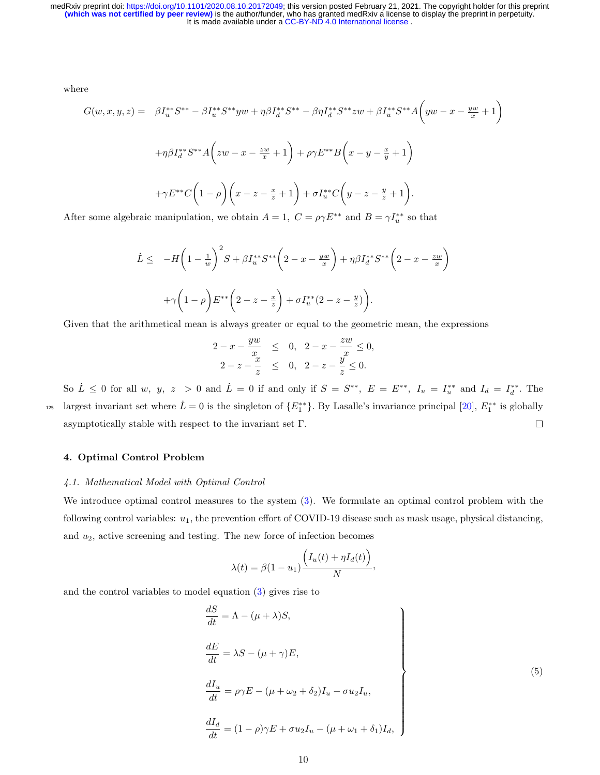where

$$
G(w, x, y, z) = \beta I_u^{**} S^{**} - \beta I_u^{**} S^{**} y w + \eta \beta I_d^{**} S^{**} - \beta \eta I_d^{**} S^{**} z w + \beta I_u^{**} S^{**} A \left( y w - x - \frac{y w}{x} + 1 \right)
$$
  
+
$$
\eta \beta I_d^{**} S^{**} A \left( z w - x - \frac{z w}{x} + 1 \right) + \rho \gamma E^{**} B \left( x - y - \frac{x}{y} + 1 \right)
$$
  
+
$$
\gamma E^{**} C \left( 1 - \rho \right) \left( x - z - \frac{x}{z} + 1 \right) + \sigma I_u^{**} C \left( y - z - \frac{y}{z} + 1 \right).
$$

After some algebraic manipulation, we obtain  $A = 1$ ,  $C = \rho \gamma E^{**}$  and  $B = \gamma I_u^{**}$  so that

$$
\dot{L} \leq -H\left(1 - \frac{1}{w}\right)^2 S + \beta I_u^{**} S^{**} \left(2 - x - \frac{yw}{x}\right) + \eta \beta I_d^{**} S^{**} \left(2 - x - \frac{zw}{x}\right) + \gamma \left(1 - \rho\right) E^{**} \left(2 - z - \frac{x}{z}\right) + \sigma I_u^{**} (2 - z - \frac{y}{z})\right).
$$

Given that the arithmetical mean is always greater or equal to the geometric mean, the expressions

$$
2 - x - \frac{yw}{x} \leq 0, \quad 2 - x - \frac{zw}{x} \leq 0, 2 - z - \frac{x}{z} \leq 0, \quad 2 - z - \frac{y}{z} \leq 0.
$$

So  $\dot{L} \leq 0$  for all w, y, z > 0 and  $\dot{L} = 0$  if and only if  $S = S^{**}$ ,  $E = E^{**}$ ,  $I_u = I_u^{**}$  and  $I_d = I_d^{**}$ . The largest invariant set where  $\dot{L} = 0$  is the singleton of  $\{E_1^{**}\}\$ . By Lasalle's invariance principal [\[20\]](#page-21-1),  $E_1^{**}$  is globally asymptotically stable with respect to the invariant set Γ.  $\Box$ 

# 4. Optimal Control Problem

#### 4.1. Mathematical Model with Optimal Control

We introduce optimal control measures to the system [\(3\)](#page-4-1). We formulate an optimal control problem with the following control variables:  $u_1$ , the prevention effort of COVID-19 disease such as mask usage, physical distancing, and  $u_2$ , active screening and testing. The new force of infection becomes

<span id="page-9-0"></span>
$$
\lambda(t) = \beta(1 - u_1) \frac{\left(I_u(t) + \eta I_d(t)\right)}{N},
$$

and the control variables to model equation [\(3\)](#page-4-1) gives rise to

$$
\begin{aligned}\n\frac{dS}{dt} &= \Lambda - (\mu + \lambda)S, \\
\frac{dE}{dt} &= \lambda S - (\mu + \gamma)E, \\
\frac{dI_u}{dt} &= \rho \gamma E - (\mu + \omega_2 + \delta_2)I_u - \sigma u_2 I_u, \\
\frac{dI_d}{dt} &= (1 - \rho)\gamma E + \sigma u_2 I_u - (\mu + \omega_1 + \delta_1)I_d,\n\end{aligned}
$$
\n(5)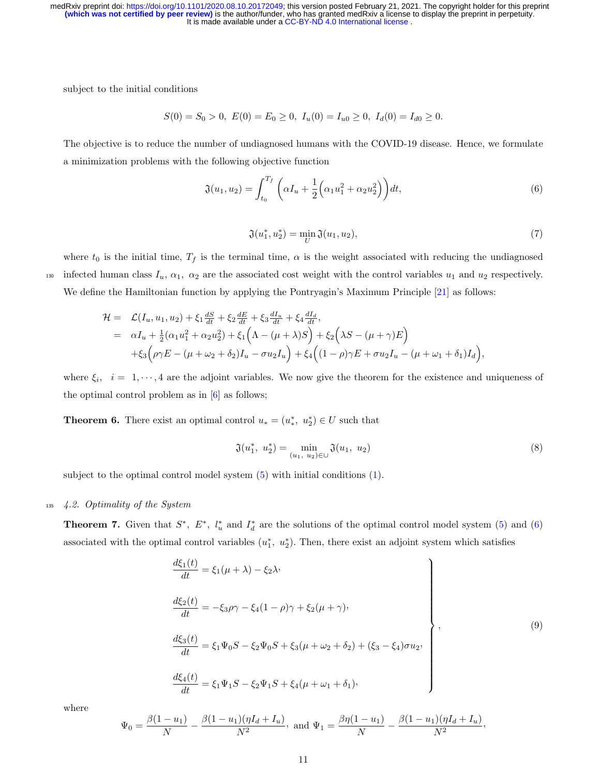subject to the initial conditions

$$
S(0) = S_0 > 0, \ E(0) = E_0 \ge 0, \ I_u(0) = I_{u0} \ge 0, \ I_d(0) = I_{d0} \ge 0.
$$

The objective is to reduce the number of undiagnosed humans with the COVID-19 disease. Hence, we formulate a minimization problems with the following objective function

$$
\mathfrak{J}(u_1, u_2) = \int_{t_0}^{T_f} \left( \alpha I_u + \frac{1}{2} \left( \alpha_1 u_1^2 + \alpha_2 u_2^2 \right) \right) dt,\tag{6}
$$

<span id="page-10-0"></span>
$$
\mathfrak{J}(u_1^*, u_2^*) = \min_U \mathfrak{J}(u_1, u_2),\tag{7}
$$

where  $t_0$  is the initial time,  $T_f$  is the terminal time,  $\alpha$  is the weight associated with reducing the undiagnosed 130 infected human class  $I_u$ ,  $\alpha_1$ ,  $\alpha_2$  are the associated cost weight with the control variables  $u_1$  and  $u_2$  respectively. We define the Hamiltonian function by applying the Pontryagin's Maximum Principle [\[21\]](#page-21-2) as follows:

$$
\mathcal{H} = \mathcal{L}(I_u, u_1, u_2) + \xi_1 \frac{dS}{dt} + \xi_2 \frac{dE}{dt} + \xi_3 \frac{dI_u}{dt} + \xi_4 \frac{dI_d}{dt},
$$
  
\n
$$
= \alpha I_u + \frac{1}{2}(\alpha_1 u_1^2 + \alpha_2 u_2^2) + \xi_1 (\Lambda - (\mu + \lambda)S) + \xi_2 ( \lambda S - (\mu + \gamma)E)
$$
  
\n
$$
+ \xi_3 (\rho \gamma E - (\mu + \omega_2 + \delta_2)I_u - \sigma u_2 I_u) + \xi_4 ((1 - \rho)\gamma E + \sigma u_2 I_u - (\mu + \omega_1 + \delta_1)I_d),
$$

where  $\xi_i$ ,  $i = 1, \dots, 4$  are the adjoint variables. We now give the theorem for the existence and uniqueness of the optimal control problem as in  $[6]$  as follows;

**Theorem 6.** There exist an optimal control  $u_* = (u_*^*, u_2^*) \in U$  such that

$$
\mathfrak{J}(u_1^*, u_2^*) = \min_{(u_1, u_2) \in \cup} \mathfrak{J}(u_1, u_2) \tag{8}
$$

subject to the optimal control model system [\(5\)](#page-9-0) with initial conditions [\(1\)](#page-4-0).

#### <sup>135</sup> 4.2. Optimality of the System

**Theorem 7.** Given that  $S^*$ ,  $E^*$ ,  $l_u^*$  and  $I_d^*$  are the solutions of the optimal control model system [\(5\)](#page-9-0) and [\(6\)](#page-10-0) associated with the optimal control variables  $(u_1^*, u_2^*)$ . Then, there exist an adjoint system which satisfies

$$
\begin{aligned}\n\frac{d\xi_1(t)}{dt} &= \xi_1(\mu + \lambda) - \xi_2 \lambda, \\
\frac{d\xi_2(t)}{dt} &= -\xi_3 \rho \gamma - \xi_4 (1 - \rho) \gamma + \xi_2 (\mu + \gamma), \\
\frac{d\xi_3(t)}{dt} &= \xi_1 \Psi_0 S - \xi_2 \Psi_0 S + \xi_3 (\mu + \omega_2 + \delta_2) + (\xi_3 - \xi_4) \sigma u_2, \\
\frac{d\xi_4(t)}{dt} &= \xi_1 \Psi_1 S - \xi_2 \Psi_1 S + \xi_4 (\mu + \omega_1 + \delta_1),\n\end{aligned}
$$
\n(9)

where

$$
\Psi_0 = \frac{\beta(1 - u_1)}{N} - \frac{\beta(1 - u_1)(\eta I_d + I_u)}{N^2}, \text{ and } \Psi_1 = \frac{\beta\eta(1 - u_1)}{N} - \frac{\beta(1 - u_1)(\eta I_d + I_u)}{N^2},
$$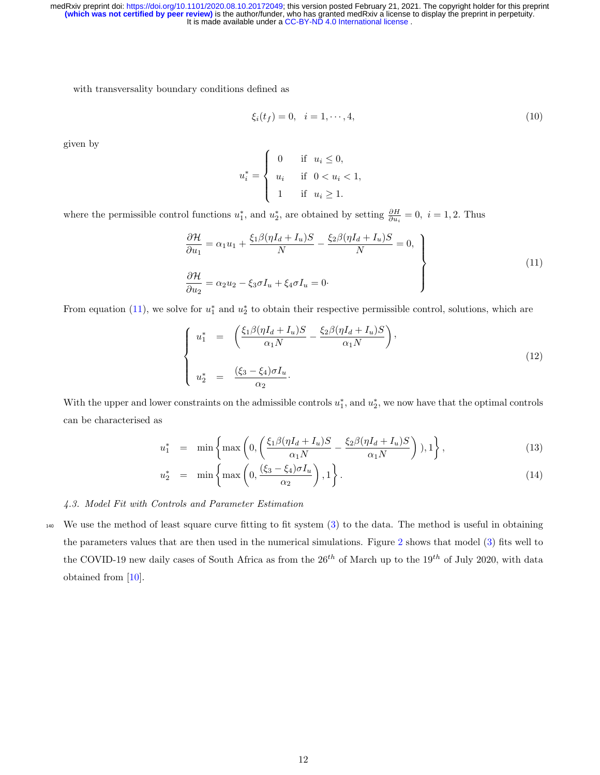with transversality boundary conditions defined as

<span id="page-11-0"></span>
$$
\xi_i(t_f) = 0, \quad i = 1, \cdots, 4,\tag{10}
$$

given by

$$
u_i^* = \begin{cases} 0 & \text{if } u_i \le 0, \\ u_i & \text{if } 0 < u_i < 1, \\ 1 & \text{if } u_i \ge 1. \end{cases}
$$

where the permissible control functions  $u_1^*$ , and  $u_2^*$ , are obtained by setting  $\frac{\partial H}{\partial u_i} = 0$ ,  $i = 1, 2$ . Thus

$$
\frac{\partial \mathcal{H}}{\partial u_1} = \alpha_1 u_1 + \frac{\xi_1 \beta (\eta I_d + I_u) S}{N} - \frac{\xi_2 \beta (\eta I_d + I_u) S}{N} = 0,
$$
\n
$$
\frac{\partial \mathcal{H}}{\partial u_2} = \alpha_2 u_2 - \xi_3 \sigma I_u + \xi_4 \sigma I_u = 0.
$$
\n(11)

From equation [\(11\)](#page-11-0), we solve for  $u_1^*$  and  $u_2^*$  to obtain their respective permissible control, solutions, which are

$$
\begin{cases}\nu_1^* = \left(\frac{\xi_1 \beta (\eta I_d + I_u)S}{\alpha_1 N} - \frac{\xi_2 \beta (\eta I_d + I_u)S}{\alpha_1 N}\right), \\
u_2^* = \frac{(\xi_3 - \xi_4)\sigma I_u}{\alpha_2}.\n\end{cases}
$$
\n(12)

With the upper and lower constraints on the admissible controls  $u_1^*$ , and  $u_2^*$ , we now have that the optimal controls can be characterised as

$$
u_1^* = \min\left\{\max\left(0, \left(\frac{\xi_1 \beta (\eta I_d + I_u)S}{\alpha_1 N} - \frac{\xi_2 \beta (\eta I_d + I_u)S}{\alpha_1 N}\right)\right), 1\right\},\tag{13}
$$

$$
u_2^* = \min\left\{\max\left(0, \frac{(\xi_3 - \xi_4)\sigma I_u}{\alpha_2}\right), 1\right\}.
$$
 (14)

#### <span id="page-11-1"></span>4.3. Model Fit with Controls and Parameter Estimation

<sup>140</sup> We use the method of least square curve fitting to fit system [\(3\)](#page-4-1) to the data. The method is useful in obtaining the parameters values that are then used in the numerical simulations. Figure [2](#page-12-0) shows that model [\(3\)](#page-4-1) fits well to the COVID-19 new daily cases of South Africa as from the  $26^{th}$  of March up to the  $19^{th}$  of July 2020, with data obtained from [\[10\]](#page-20-5).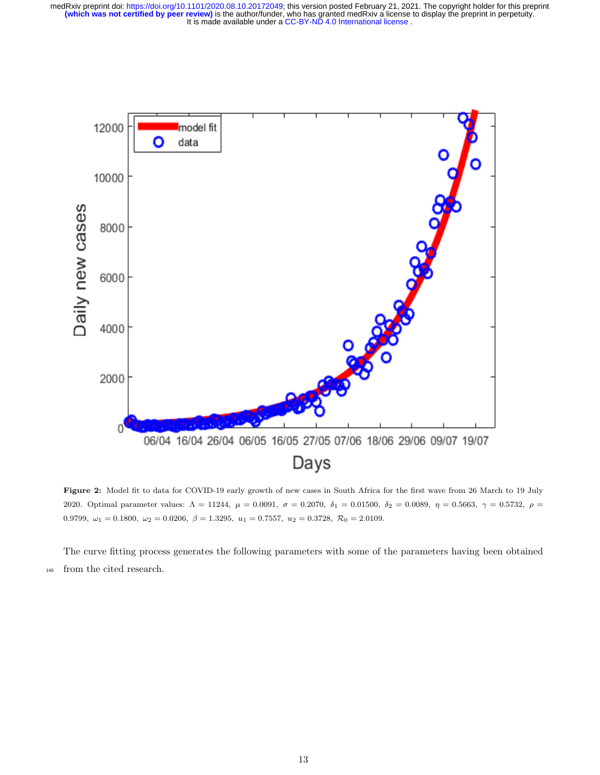It is made available under a CC-BY-ND 4.0 International license. **(which was not certified by peer review)** is the author/funder, who has granted medRxiv a license to display the preprint in perpetuity. medRxiv preprint doi: [https://doi.org/10.1101/2020.08.10.20172049;](https://doi.org/10.1101/2020.08.10.20172049) this version posted February 21, 2021. The copyright holder for this preprint

<span id="page-12-0"></span>

Figure 2: Model fit to data for COVID-19 early growth of new cases in South Africa for the first wave from 26 March to 19 July 2020. Optimal parameter values:  $\Lambda = 11244$ ,  $\mu = 0.0091$ ,  $\sigma = 0.2070$ ,  $\delta_1 = 0.01500$ ,  $\delta_2 = 0.0089$ ,  $\eta = 0.5663$ ,  $\gamma = 0.5732$ ,  $\rho =$ 0.9799,  $\omega_1 = 0.1800$ ,  $\omega_2 = 0.0206$ ,  $\beta = 1.3295$ ,  $u_1 = 0.7557$ ,  $u_2 = 0.3728$ ,  $\mathcal{R}_0 = 2.0109$ .

The curve fitting process generates the following parameters with some of the parameters having been obtained <sup>145</sup> from the cited research.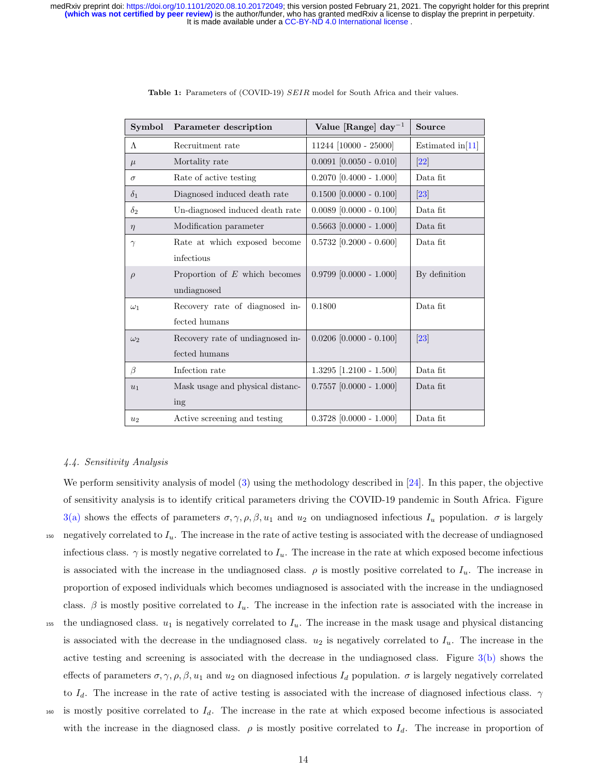<span id="page-13-0"></span>

| Symbol     | Parameter description            | Value [Range] day <sup>-1</sup> | Source             |
|------------|----------------------------------|---------------------------------|--------------------|
| $\Lambda$  | Recruitment rate                 | 11244 [10000 - 25000]           | Estimated $in[11]$ |
| $\mu$      | Mortality rate                   | $0.0091$ [0.0050 - 0.010]       | 22                 |
| $\sigma$   | Rate of active testing           | $0.2070$ [0.4000 - 1.000]       | Data fit           |
| $\delta_1$ | Diagnosed induced death rate     | $0.1500$ $[0.0000 - 0.100]$     | 23                 |
| $\delta_2$ | Un-diagnosed induced death rate  | $0.0089$ [0.0000 - 0.100]       | Data fit           |
| $\eta$     | Modification parameter           | $0.5663$ [0.0000 - 1.000]       | Data fit           |
| $\gamma$   | Rate at which exposed become     | $0.5732$ [0.2000 - 0.600]       | Data fit           |
|            | infectious                       |                                 |                    |
| $\rho$     | Proportion of $E$ which becomes  | $0.9799$ $[0.0000 - 1.000]$     | By definition      |
|            | undiagnosed                      |                                 |                    |
| $\omega_1$ | Recovery rate of diagnosed in-   | 0.1800                          | Data fit           |
|            | fected humans                    |                                 |                    |
| $\omega_2$ | Recovery rate of undiagnosed in- | $0.0206$ [0.0000 - 0.100]       | 23                 |
|            | fected humans                    |                                 |                    |
| $\beta$    | Infection rate                   | $1.3295$ [1.2100 - 1.500]       | Data fit           |
| $u_1$      | Mask usage and physical distanc- | $0.7557$ [0.0000 - 1.000]       | Data fit           |
|            | ing                              |                                 |                    |
| $u_2$      | Active screening and testing     | $0.3728$ [0.0000 - 1.000]       | Data fit           |

Table 1: Parameters of (COVID-19) SEIR model for South Africa and their values.

#### 4.4. Sensitivity Analysis

We perform sensitivity analysis of model [\(3\)](#page-4-1) using the methodology described in [\[24\]](#page-21-5). In this paper, the objective of sensitivity analysis is to identify critical parameters driving the COVID-19 pandemic in South Africa. Figure [3\(a\)](#page-14-0) shows the effects of parameters  $\sigma, \gamma, \rho, \beta, u_1$  and  $u_2$  on undiagnosed infectious  $I_u$  population.  $\sigma$  is largely  $_{150}$  negatively correlated to  $I_u$ . The increase in the rate of active testing is associated with the decrease of undiagnosed infectious class.  $\gamma$  is mostly negative correlated to  $I_u$ . The increase in the rate at which exposed become infectious is associated with the increase in the undiagnosed class.  $\rho$  is mostly positive correlated to  $I_u$ . The increase in proportion of exposed individuals which becomes undiagnosed is associated with the increase in the undiagnosed class.  $\beta$  is mostly positive correlated to  $I_u$ . The increase in the infection rate is associated with the increase in 155 the undiagnosed class.  $u_1$  is negatively correlated to  $I_u$ . The increase in the mask usage and physical distancing is associated with the decrease in the undiagnosed class.  $u_2$  is negatively correlated to  $I_u$ . The increase in the active testing and screening is associated with the decrease in the undiagnosed class. Figure  $3(b)$  shows the effects of parameters  $\sigma, \gamma, \rho, \beta, u_1$  and  $u_2$  on diagnosed infectious  $I_d$  population.  $\sigma$  is largely negatively correlated to  $I_d$ . The increase in the rate of active testing is associated with the increase of diagnosed infectious class.  $\gamma$  $160$  is mostly positive correlated to  $I_d$ . The increase in the rate at which exposed become infectious is associated with the increase in the diagnosed class.  $\rho$  is mostly positive correlated to  $I_d$ . The increase in proportion of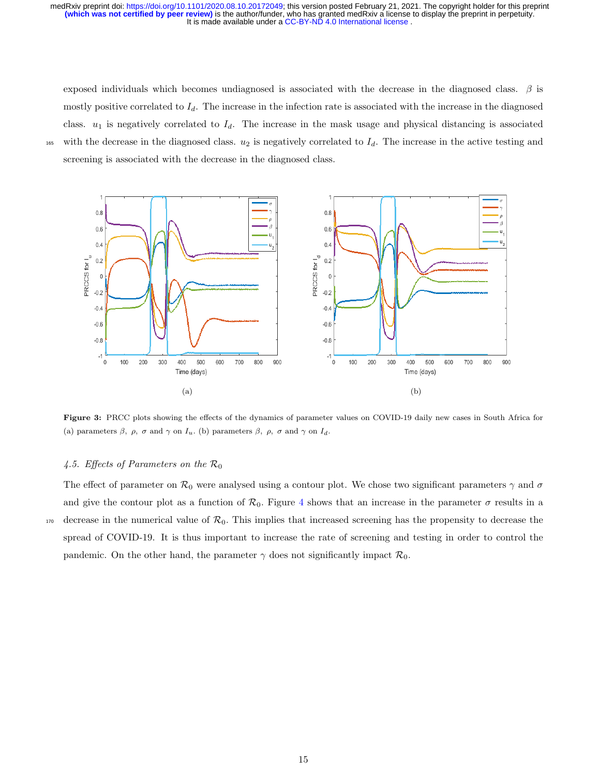exposed individuals which becomes undiagnosed is associated with the decrease in the diagnosed class.  $\beta$  is mostly positive correlated to  $I_d$ . The increase in the infection rate is associated with the increase in the diagnosed class.  $u_1$  is negatively correlated to  $I_d$ . The increase in the mask usage and physical distancing is associated 165 with the decrease in the diagnosed class.  $u_2$  is negatively correlated to  $I_d$ . The increase in the active testing and screening is associated with the decrease in the diagnosed class.

<span id="page-14-2"></span><span id="page-14-0"></span>

<span id="page-14-1"></span>Figure 3: PRCC plots showing the effects of the dynamics of parameter values on COVID-19 daily new cases in South Africa for (a) parameters  $\beta$ ,  $\rho$ ,  $\sigma$  and  $\gamma$  on  $I_u$ . (b) parameters  $\beta$ ,  $\rho$ ,  $\sigma$  and  $\gamma$  on  $I_d$ .

#### 4.5. Effects of Parameters on the  $\mathcal{R}_0$

The effect of parameter on  $\mathcal{R}_0$  were analysed using a contour plot. We chose two significant parameters  $\gamma$  and  $\sigma$ and give the contour plot as a function of  $\mathcal{R}_0$ . Figure [4](#page-15-0) shows that an increase in the parameter  $\sigma$  results in a  $170$  decrease in the numerical value of  $\mathcal{R}_0$ . This implies that increased screening has the propensity to decrease the spread of COVID-19. It is thus important to increase the rate of screening and testing in order to control the pandemic. On the other hand, the parameter  $\gamma$  does not significantly impact  $\mathcal{R}_0$ .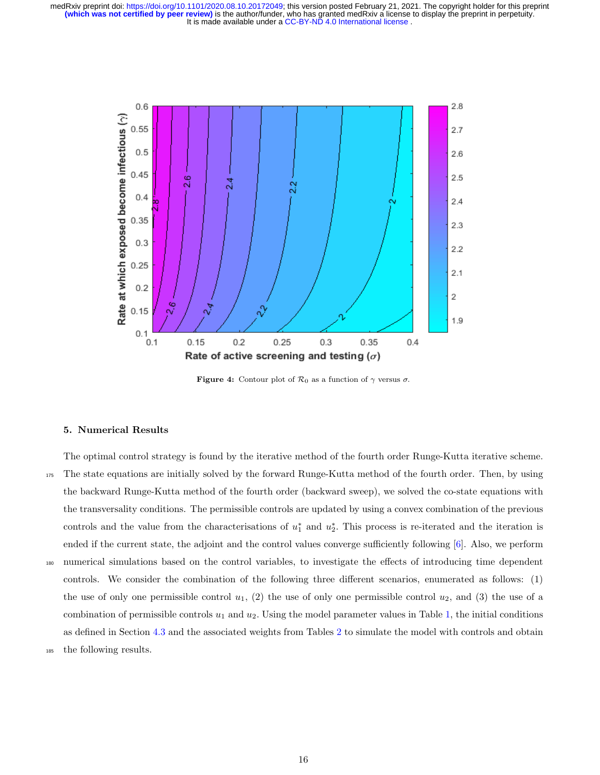<span id="page-15-0"></span>

**Figure 4:** Contour plot of  $\mathcal{R}_0$  as a function of  $\gamma$  versus  $\sigma$ .

#### 5. Numerical Results

The optimal control strategy is found by the iterative method of the fourth order Runge-Kutta iterative scheme. <sup>175</sup> The state equations are initially solved by the forward Runge-Kutta method of the fourth order. Then, by using the backward Runge-Kutta method of the fourth order (backward sweep), we solved the co-state equations with the transversality conditions. The permissible controls are updated by using a convex combination of the previous controls and the value from the characterisations of  $u_1^*$  and  $u_2^*$ . This process is re-iterated and the iteration is ended if the current state, the adjoint and the control values converge sufficiently following [\[6\]](#page-20-1). Also, we perform <sup>180</sup> numerical simulations based on the control variables, to investigate the effects of introducing time dependent controls. We consider the combination of the following three different scenarios, enumerated as follows: (1) the use of only one permissible control  $u_1$ , (2) the use of only one permissible control  $u_2$ , and (3) the use of a combination of permissible controls  $u_1$  and  $u_2$ . Using the model parameter values in Table [1,](#page-13-0) the initial conditions as defined in Section [4.3](#page-11-1) and the associated weights from Tables [2](#page-16-0) to simulate the model with controls and obtain <sup>185</sup> the following results.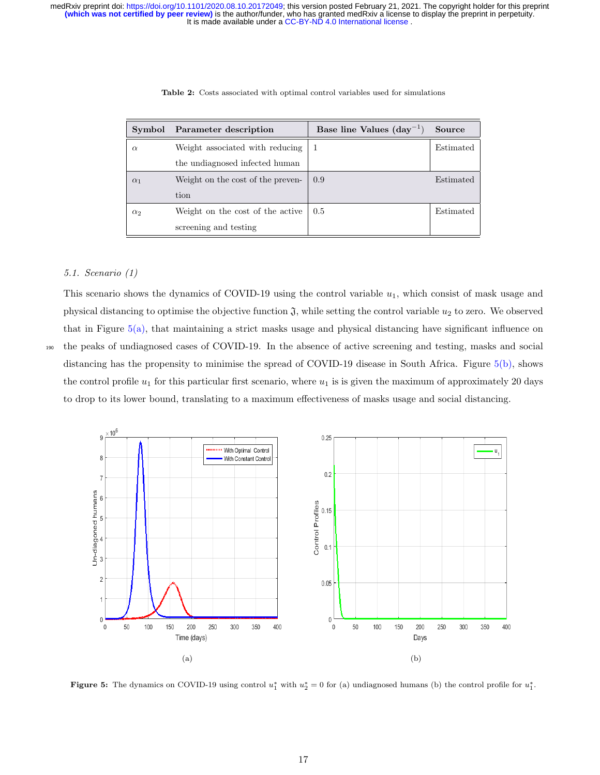<span id="page-16-0"></span>

| Symbol     | Parameter description             | Base line Values $(\text{day}^{-1})$ | Source    |
|------------|-----------------------------------|--------------------------------------|-----------|
| $\alpha$   | Weight associated with reducing   |                                      | Estimated |
|            | the undiagnosed infected human    |                                      |           |
| $\alpha_1$ | Weight on the cost of the preven- | 0.9                                  | Estimated |
|            | tion                              |                                      |           |
| $\alpha_2$ | Weight on the cost of the active  | 0.5                                  | Estimated |
|            | screening and testing             |                                      |           |

Table 2: Costs associated with optimal control variables used for simulations

# 5.1. Scenario (1)

This scenario shows the dynamics of COVID-19 using the control variable  $u_1$ , which consist of mask usage and physical distancing to optimise the objective function  $\mathfrak{J}$ , while setting the control variable  $u_2$  to zero. We observed that in Figure  $5(a)$ , that maintaining a strict masks usage and physical distancing have significant influence on <sup>190</sup> the peaks of undiagnosed cases of COVID-19. In the absence of active screening and testing, masks and social distancing has the propensity to minimise the spread of COVID-19 disease in South Africa. Figure [5\(b\),](#page-16-2) shows the control profile  $u_1$  for this particular first scenario, where  $u_1$  is is given the maximum of approximately 20 days to drop to its lower bound, translating to a maximum effectiveness of masks usage and social distancing.

<span id="page-16-1"></span>

<span id="page-16-2"></span>**Figure 5:** The dynamics on COVID-19 using control  $u_1^*$  with  $u_2^* = 0$  for (a) undiagnosed humans (b) the control profile for  $u_1^*$ .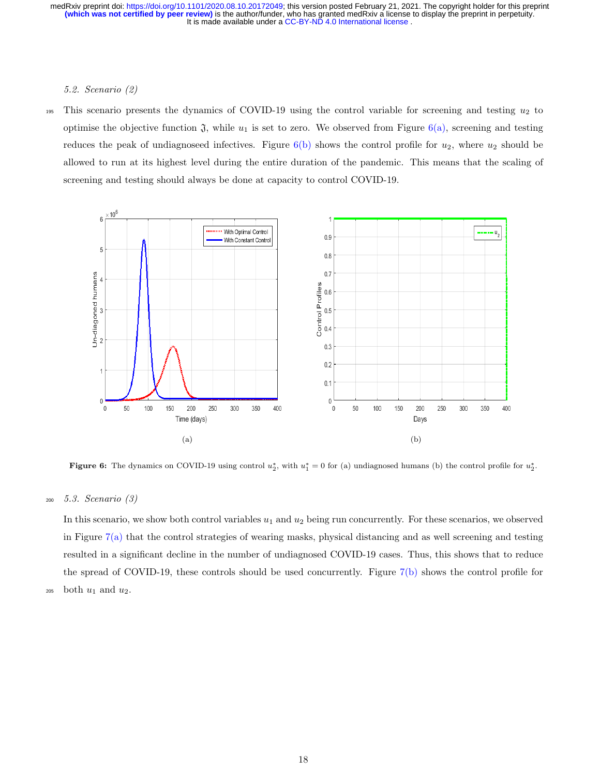#### 5.2. Scenario (2)

195 This scenario presents the dynamics of COVID-19 using the control variable for screening and testing  $u_2$  to optimise the objective function  $\mathfrak{J}$ , while  $u_1$  is set to zero. We observed from Figure  $6(a)$ , screening and testing reduces the peak of undiagnoseed infectives. Figure  $6(b)$  shows the control profile for  $u_2$ , where  $u_2$  should be allowed to run at its highest level during the entire duration of the pandemic. This means that the scaling of screening and testing should always be done at capacity to control COVID-19.

<span id="page-17-0"></span>

<span id="page-17-1"></span>**Figure 6:** The dynamics on COVID-19 using control  $u_2^*$ , with  $u_1^* = 0$  for (a) undiagnosed humans (b) the control profile for  $u_2^*$ .

<sup>200</sup> 5.3. Scenario (3)

In this scenario, we show both control variables  $u_1$  and  $u_2$  being run concurrently. For these scenarios, we observed in Figure [7\(a\)](#page-18-0) that the control strategies of wearing masks, physical distancing and as well screening and testing resulted in a significant decline in the number of undiagnosed COVID-19 cases. Thus, this shows that to reduce the spread of COVID-19, these controls should be used concurrently. Figure [7\(b\)](#page-18-1) shows the control profile for  $_{205}$  both  $u_1$  and  $u_2$ .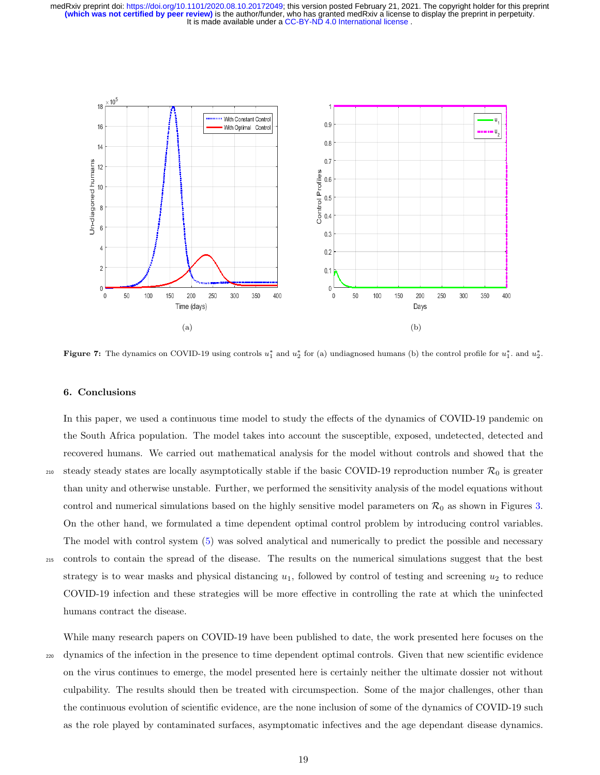<span id="page-18-0"></span>

<span id="page-18-1"></span>**Figure 7:** The dynamics on COVID-19 using controls  $u_1^*$  and  $u_2^*$  for (a) undiagnosed humans (b) the control profile for  $u_1^*$ . and  $u_2^*$ .

#### 6. Conclusions

In this paper, we used a continuous time model to study the effects of the dynamics of COVID-19 pandemic on the South Africa population. The model takes into account the susceptible, exposed, undetected, detected and recovered humans. We carried out mathematical analysis for the model without controls and showed that the 210 steady steady states are locally asymptotically stable if the basic COVID-19 reproduction number  $\mathcal{R}_0$  is greater than unity and otherwise unstable. Further, we performed the sensitivity analysis of the model equations without control and numerical simulations based on the highly sensitive model parameters on  $\mathcal{R}_0$  as shown in Figures [3.](#page-14-2) On the other hand, we formulated a time dependent optimal control problem by introducing control variables. The model with control system [\(5\)](#page-9-0) was solved analytical and numerically to predict the possible and necessary <sup>215</sup> controls to contain the spread of the disease. The results on the numerical simulations suggest that the best strategy is to wear masks and physical distancing  $u_1$ , followed by control of testing and screening  $u_2$  to reduce COVID-19 infection and these strategies will be more effective in controlling the rate at which the uninfected humans contract the disease.

While many research papers on COVID-19 have been published to date, the work presented here focuses on the <sup>220</sup> dynamics of the infection in the presence to time dependent optimal controls. Given that new scientific evidence on the virus continues to emerge, the model presented here is certainly neither the ultimate dossier not without culpability. The results should then be treated with circumspection. Some of the major challenges, other than the continuous evolution of scientific evidence, are the none inclusion of some of the dynamics of COVID-19 such as the role played by contaminated surfaces, asymptomatic infectives and the age dependant disease dynamics.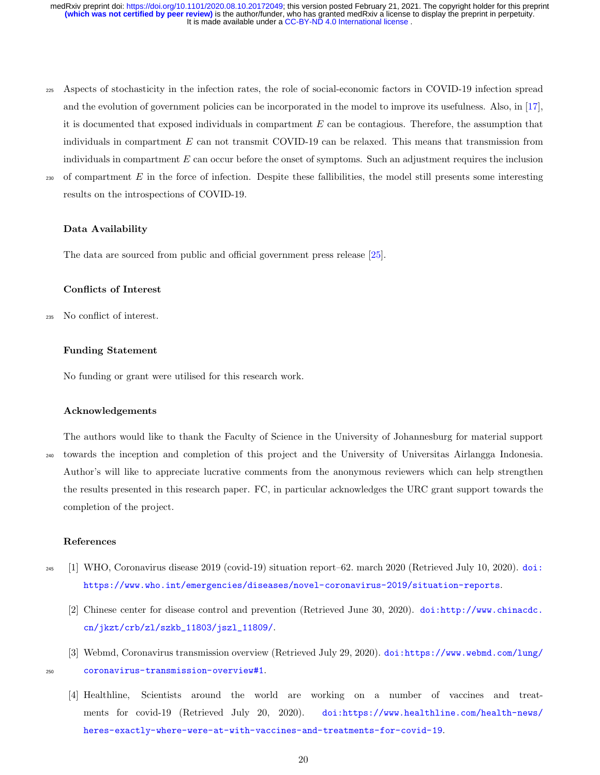- <sup>225</sup> Aspects of stochasticity in the infection rates, the role of social-economic factors in COVID-19 infection spread and the evolution of government policies can be incorporated in the model to improve its usefulness. Also, in [\[17\]](#page-20-12), it is documented that exposed individuals in compartment  $E$  can be contagious. Therefore, the assumption that individuals in compartment  $E$  can not transmit COVID-19 can be relaxed. This means that transmission from individuals in compartment  $E$  can occur before the onset of symptoms. Such an adjustment requires the inclusion
- 

# $230$  of compartment E in the force of infection. Despite these fallibilities, the model still presents some interesting results on the introspections of COVID-19.

## Data Availability

The data are sourced from public and official government press release [\[25\]](#page-21-6).

# Conflicts of Interest

<sup>235</sup> No conflict of interest.

# Funding Statement

No funding or grant were utilised for this research work.

<span id="page-19-2"></span><sup>250</sup> [coronavirus-transmission-overview#1](https://doi.org/https://www.webmd.com/lung/coronavirus-transmission-overview#1).

#### Acknowledgements

The authors would like to thank the Faculty of Science in the University of Johannesburg for material support <sup>240</sup> towards the inception and completion of this project and the University of Universitas Airlangga Indonesia. Author's will like to appreciate lucrative comments from the anonymous reviewers which can help strengthen the results presented in this research paper. FC, in particular acknowledges the URC grant support towards the completion of the project.

#### <span id="page-19-0"></span>References

- <span id="page-19-1"></span><sup>245</sup> [1] WHO, Coronavirus disease 2019 (covid-19) situation report–62. march 2020 (Retrieved July 10, 2020).  $d\sigma$ **i**: [https://www.who.int/emergencies/diseases/novel-coronavirus-2019/situation-reports](https://doi.org/https://www.who.int/emergencies/diseases/novel-coronavirus-2019/situation-reports).
	- [2] Chinese center for disease control and prevention (Retrieved June 30, 2020). [doi:http://www.chinacdc.](https://doi.org/http://www.chinacdc.cn/jkzt/crb/zl/szkb_11803/jszl_11809/) [cn/jkzt/crb/zl/szkb\\_11803/jszl\\_11809/](https://doi.org/http://www.chinacdc.cn/jkzt/crb/zl/szkb_11803/jszl_11809/).
	- [3] Webmd, Coronavirus transmission overview (Retrieved July 29, 2020). [doi:https://www.webmd.com/lung/](https://doi.org/https://www.webmd.com/lung/coronavirus-transmission-overview#1)
- 

<span id="page-19-3"></span>[4] Healthline, Scientists around the world are working on a number of vaccines and treatments for covid-19 (Retrieved July 20, 2020). [doi:https://www.healthline.com/health-news/](https://doi.org/https://www.healthline.com/health-news/heres-exactly-where-were-at-with-vaccines-and-treatments-for-covid-19) [heres-exactly-where-were-at-with-vaccines-and-treatments-for-covid-19](https://doi.org/https://www.healthline.com/health-news/heres-exactly-where-were-at-with-vaccines-and-treatments-for-covid-19).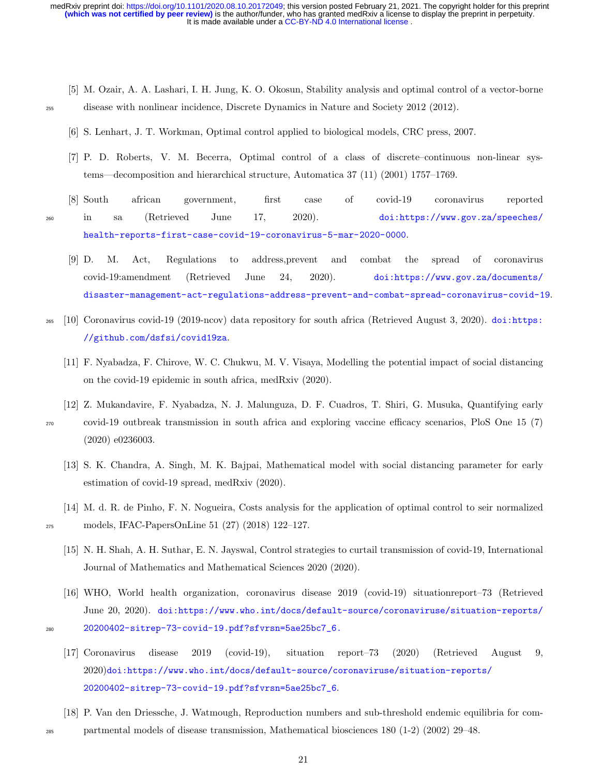It is made available under a CC-BY-ND 4.0 International license. **(which was not certified by peer review)** is the author/funder, who has granted medRxiv a license to display the preprint in perpetuity. medRxiv preprint doi: [https://doi.org/10.1101/2020.08.10.20172049;](https://doi.org/10.1101/2020.08.10.20172049) this version posted February 21, 2021. The copyright holder for this preprint

- <span id="page-20-1"></span><span id="page-20-0"></span>[5] M. Ozair, A. A. Lashari, I. H. Jung, K. O. Okosun, Stability analysis and optimal control of a vector-borne <sup>255</sup> disease with nonlinear incidence, Discrete Dynamics in Nature and Society 2012 (2012).
	- [6] S. Lenhart, J. T. Workman, Optimal control applied to biological models, CRC press, 2007.
	- [7] P. D. Roberts, V. M. Becerra, Optimal control of a class of discrete–continuous non-linear systems—decomposition and hierarchical structure, Automatica 37 (11) (2001) 1757–1769.
- <span id="page-20-4"></span><span id="page-20-3"></span><span id="page-20-2"></span>[8] South african government, first case of covid-19 coronavirus reported <sup>260</sup> in sa (Retrieved June 17, 2020). [doi:https://www.gov.za/speeches/](https://doi.org/https://www.gov.za/speeches/health-reports-first-case-covid-19-coronavirus-5-mar-2020-0000) [health-reports-first-case-covid-19-coronavirus-5-mar-2020-0000](https://doi.org/https://www.gov.za/speeches/health-reports-first-case-covid-19-coronavirus-5-mar-2020-0000).
	- [9] D. M. Act, Regulations to address,prevent and combat the spread of coronavirus covid-19:amendment (Retrieved June 24, 2020). [doi:https://www.gov.za/documents/](https://doi.org/https://www.gov.za/documents/disaster-management-act-regulations-address-prevent-and-combat-spread-coronavirus-covid-19) [disaster-management-act-regulations-address-prevent-and-combat-spread-coronavirus-covid-19](https://doi.org/https://www.gov.za/documents/disaster-management-act-regulations-address-prevent-and-combat-spread-coronavirus-covid-19).
- <span id="page-20-6"></span><span id="page-20-5"></span><sup>265</sup> [\[](https://doi.org/https://github.com/dsfsi/covid19za)10] Coronavirus covid-19 (2019-ncov) data repository for south africa (Retrieved August 3, 2020). [doi:https:](https://doi.org/https://github.com/dsfsi/covid19za) [//github.com/dsfsi/covid19za](https://doi.org/https://github.com/dsfsi/covid19za).
	- [11] F. Nyabadza, F. Chirove, W. C. Chukwu, M. V. Visaya, Modelling the potential impact of social distancing on the covid-19 epidemic in south africa, medRxiv (2020).
	- [12] Z. Mukandavire, F. Nyabadza, N. J. Malunguza, D. F. Cuadros, T. Shiri, G. Musuka, Quantifying early

<span id="page-20-7"></span><sup>270</sup> covid-19 outbreak transmission in south africa and exploring vaccine efficacy scenarios, PloS One 15 (7) (2020) e0236003.

- <span id="page-20-8"></span>[13] S. K. Chandra, A. Singh, M. K. Bajpai, Mathematical model with social distancing parameter for early estimation of covid-19 spread, medRxiv (2020).
- <span id="page-20-10"></span><span id="page-20-9"></span>[14] M. d. R. de Pinho, F. N. Nogueira, Costs analysis for the application of optimal control to seir normalized <sup>275</sup> models, IFAC-PapersOnLine 51 (27) (2018) 122–127.
	- [15] N. H. Shah, A. H. Suthar, E. N. Jayswal, Control strategies to curtail transmission of covid-19, International Journal of Mathematics and Mathematical Sciences 2020 (2020).
	- [16] WHO, World health organization, coronavirus disease 2019 (covid-19) situationreport–73 (Retrieved June 20, 2020). [doi:https://www.who.int/docs/default-source/coronaviruse/situation-reports/](https://doi.org/https://www.who.int/docs/default-source/coronaviruse/situation-reports/20200402-sitrep-73-covid-19.pdf?sfvrsn=5ae25bc7_6.) <sup>280</sup> [20200402-sitrep-73-covid-19.pdf?sfvrsn=5ae25bc7\\_6.](https://doi.org/https://www.who.int/docs/default-source/coronaviruse/situation-reports/20200402-sitrep-73-covid-19.pdf?sfvrsn=5ae25bc7_6.)
- <span id="page-20-11"></span>
- <span id="page-20-12"></span>[17] Coronavirus disease 2019 (covid-19), situation report–73 (2020) (Retrieved August 9, 2020)[doi:https://www.who.int/docs/default-source/coronaviruse/situation-reports/](https://doi.org/https://www.who.int/docs/default-source/coronaviruse/situation-reports/20200402-sitrep-73-covid-19.pdf?sfvrsn=5ae25bc7_6) [20200402-sitrep-73-covid-19.pdf?sfvrsn=5ae25bc7\\_6](https://doi.org/https://www.who.int/docs/default-source/coronaviruse/situation-reports/20200402-sitrep-73-covid-19.pdf?sfvrsn=5ae25bc7_6).
- <span id="page-20-13"></span>[18] P. Van den Driessche, J. Watmough, Reproduction numbers and sub-threshold endemic equilibria for com-<sup>285</sup> partmental models of disease transmission, Mathematical biosciences 180 (1-2) (2002) 29–48.